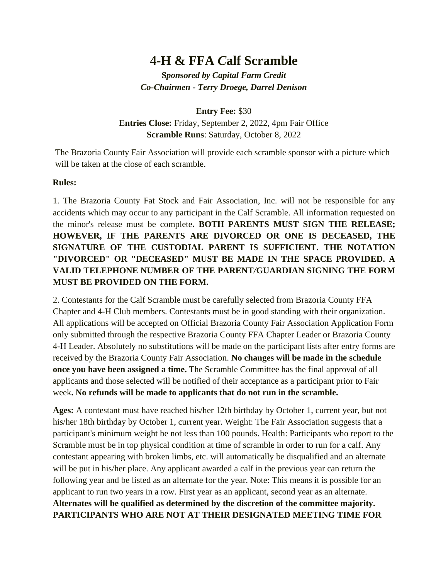# **4-H & FFA** *C***alf Scramble**

**S***pon***s***ored by Capital Farm Credit Co-Chairmen - Terry Droege, Darrel Denison*

**Entry Fee:** \$30

**Entries Close:** Friday, September 2, 2022, 4pm Fair Office **Scramble Runs**: Saturday, October 8, 2022

The Brazoria County Fair Association will provide each scramble sponsor with a picture which will be taken at the close of each scramble.

#### **Rules:**

1. The Brazoria County Fat Stock and Fair Association, Inc. will not be responsible for any accidents which may occur to any participant in the Calf Scramble. All information requested on the minor's release must be complete**. BOTH PARENTS MUST SIGN THE RELEASE; HOWEVER, IF THE PARENTS ARE DIVORCED OR ONE IS DECEASED, THE SIGNATURE OF THE CUSTODIAL PARENT IS SUFFICIENT. THE NOTATION "DIVORCED" OR "DECEASED" MUST BE MADE IN THE SPACE PROVIDED. A VALID TELEPHONE NUMBER OF THE PARENT***/***GUARDIAN SIGNING THE FORM MUST BE PROVIDED ON THE FORM.** 

2. Contestants for the Calf Scramble must be carefully selected from Brazoria County FFA Chapter and 4-H Club members. Contestants must be in good standing with their organization. All applications will be accepted on Official Brazoria County Fair Association Application Form only submitted through the respective Brazoria County FFA Chapter Leader or Brazoria County 4-H Leader. Absolutely no substitutions will be made on the participant lists after entry forms are received by the Brazoria County Fair Association. **No changes will be made in the schedule once you have been assigned a time.** The Scramble Committee has the final approval of all applicants and those selected will be notified of their acceptance as a participant prior to Fair week**. No refunds will be made to applicants that do not run in the scramble.** 

**Ages:** A contestant must have reached his/her 12th birthday by October 1, current year, but not his/her 18th birthday by October 1, current year. Weight: The Fair Association suggests that a participant's minimum weight be not less than 100 pounds. Health: Participants who report to the Scramble must be in top physical condition at time of scramble in order to run for a calf. Any contestant appearing with broken limbs, etc. will automatically be disqualified and an alternate will be put in his/her place. Any applicant awarded a calf in the previous year can return the following year and be listed as an alternate for the year. Note: This means it is possible for an applicant to run two *y*ears in a row. First year as an applicant, second year as an alternate. **Alternates will be qualified as determined by the discretion of the committee majority. PARTICIPANTS WHO ARE NOT AT THEIR DESIGNATED MEETING TIME FOR**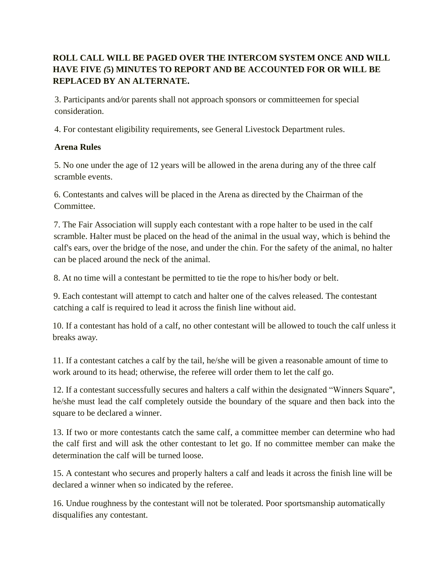## **ROLL CALL WILL BE PAGED OVER THE INTERCOM SYSTEM ONCE AND WILL HAVE FIVE** *(***5) MINUTES TO REPORT AND BE ACCOUNTED FOR OR WILL BE REPLACED BY AN ALTERNATE.**

3. Participants and*/*or parents shall not approach sponsors or committeemen for special consideration.

4. For contestant eligibility requirements, see General Livestock Department rules.

## **Arena Rules**

5. No one under the age of 12 years will be allowed in the arena during any of the three calf scramble events.

6. Contestants and calves will be placed in the Arena as directed by the Chairman of the Committee.

7. The Fair Association will supply each contestant with a rope halter to be used in the calf scramble. Halter must be placed on the head of the animal in the usual way, which is behind the calf's ears, over the bridge of the nose, and under the chin. For the safety of the animal, no halter can be placed around the neck of the animal.

8. At no time will a contestant be permitted to tie the rope to his/her body or belt.

9. Each contestant will attempt to catch and halter one of the calves released. The contestant catching a calf is required to lead it across the finish line without aid.

10. If a contestant has hold of a calf, no other contestant will be allowed to touch the calf unless it breaks awa*y.*

11. If a contestant catches a calf by the tail, he/she will be given a reasonable amount of time to work around to its head; otherwise, the referee will order them to let the calf go.

12. If a contestant successfully secures and halters a calf within the designated "Winners Square", he/she must lead the calf completely outside the boundary of the square and then back into the square to be declared a winner.

13. If two or more contestants catch the same calf, a committee member can determine who had the calf first and will ask the other contestant to let go. If no committee member can make the determination the calf will be turned loose.

15. A contestant who secures and properly halters a calf and leads it across the finish line will be declared a winner when so indicated by the referee.

16. Undue roughness by the contestant will not be tolerated. Poor sportsmanship automatically disqualifies any contestant.